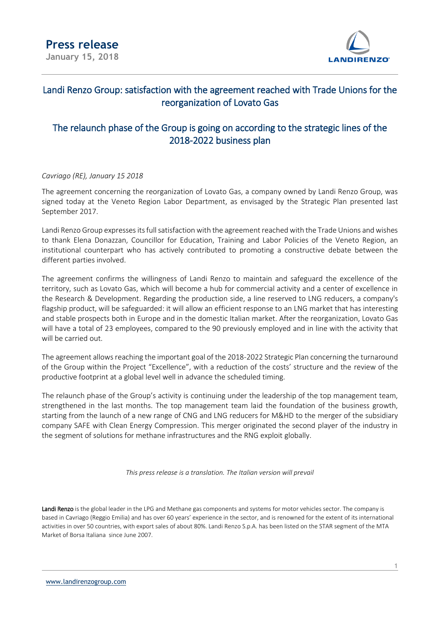

## Landi Renzo Group: satisfaction with the agreement reached with Trade Unions for the reorganization of Lovato Gas

## The relaunch phase of the Group is going on according to the strategic lines of the 2018-2022 business plan

### *Cavriago (RE), January 15 2018*

The agreement concerning the reorganization of Lovato Gas, a company owned by Landi Renzo Group, was signed today at the Veneto Region Labor Department, as envisaged by the Strategic Plan presented last September 2017.

Landi Renzo Group expresses its full satisfaction with the agreement reached with the Trade Unions and wishes to thank Elena Donazzan, Councillor for Education, Training and Labor Policies of the Veneto Region, an institutional counterpart who has actively contributed to promoting a constructive debate between the different parties involved.

The agreement confirms the willingness of Landi Renzo to maintain and safeguard the excellence of the territory, such as Lovato Gas, which will become a hub for commercial activity and a center of excellence in the Research & Development. Regarding the production side, a line reserved to LNG reducers, a company's flagship product, will be safeguarded: it will allow an efficient response to an LNG market that has interesting and stable prospects both in Europe and in the domestic Italian market. After the reorganization, Lovato Gas will have a total of 23 employees, compared to the 90 previously employed and in line with the activity that will be carried out.

The agreement allows reaching the important goal of the 2018-2022 Strategic Plan concerning the turnaround of the Group within the Project "Excellence", with a reduction of the costs' structure and the review of the productive footprint at a global level well in advance the scheduled timing.

The relaunch phase of the Group's activity is continuing under the leadership of the top management team, strengthened in the last months. The top management team laid the foundation of the business growth, starting from the launch of a new range of CNG and LNG reducers for M&HD to the merger of the subsidiary company SAFE with Clean Energy Compression. This merger originated the second player of the industry in the segment of solutions for methane infrastructures and the RNG exploit globally.

*This press release is a translation. The Italian version will prevail*

Landi Renzo is the global leader in the LPG and Methane gas components and systems for motor vehicles sector. The company is based in Cavriago (Reggio Emilia) and has over 60 years' experience in the sector, and is renowned for the extent of its international activities in over 50 countries, with export sales of about 80%. Landi Renzo S.p.A. has been listed on the STAR segment of the MTA Market of Borsa Italiana since June 2007.